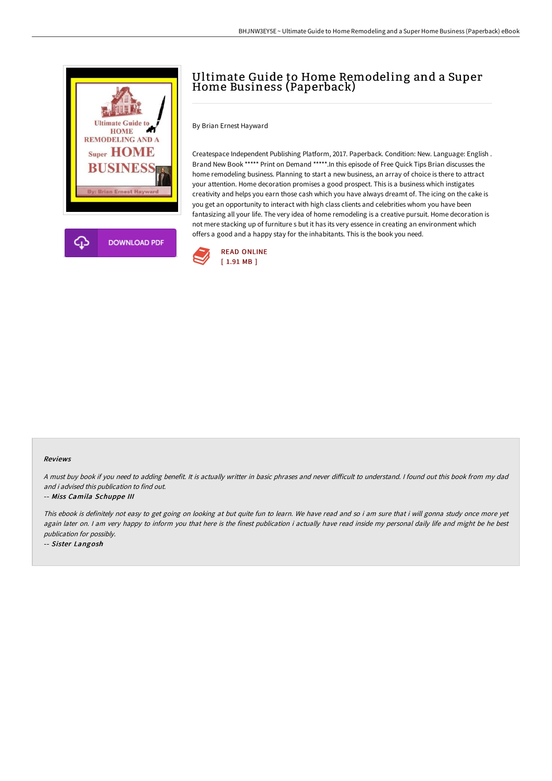



By Brian Ernest Hayward

Createspace Independent Publishing Platform, 2017. Paperback. Condition: New. Language: English . Brand New Book \*\*\*\*\* Print on Demand \*\*\*\*\*.In this episode of Free Quick Tips Brian discusses the home remodeling business. Planning to start a new business, an array of choice is there to attract your attention. Home decoration promises a good prospect. This is a business which instigates creativity and helps you earn those cash which you have always dreamt of. The icing on the cake is you get an opportunity to interact with high class clients and celebrities whom you have been fantasizing all your life. The very idea of home remodeling is a creative pursuit. Home decoration is not mere stacking up of furniture s but it has its very essence in creating an environment which offers a good and a happy stay for the inhabitants. This is the book you need.



## Reviews

A must buy book if you need to adding benefit. It is actually writter in basic phrases and never difficult to understand. I found out this book from my dad and i advised this publication to find out.

## -- Miss Camila Schuppe III

This ebook is definitely not easy to get going on looking at but quite fun to learn. We have read and so i am sure that i will gonna study once more yet again later on. I am very happy to inform you that here is the finest publication i actually have read inside my personal daily life and might be he best publication for possibly.

-- Sister Langosh